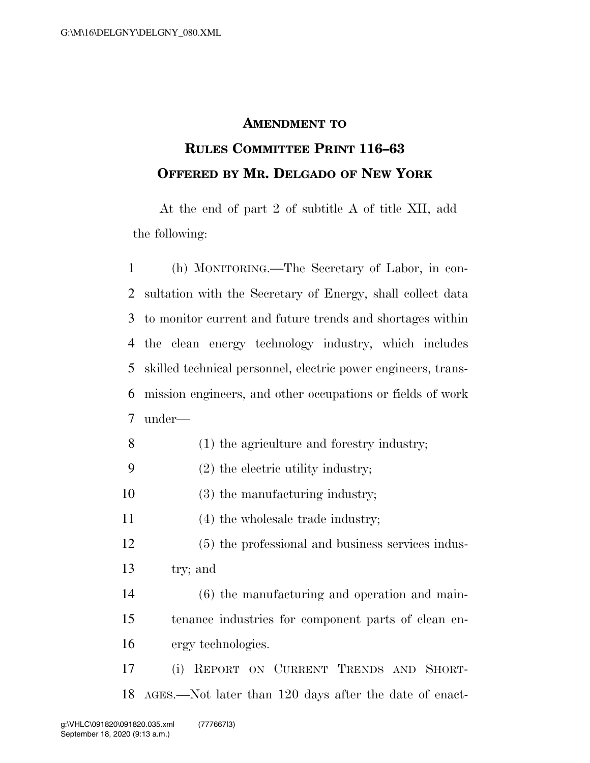## **AMENDMENT TO**

## **RULES COMMITTEE PRINT 116–63 OFFERED BY MR. DELGADO OF NEW YORK**

At the end of part 2 of subtitle A of title XII, add the following:

 (h) MONITORING.—The Secretary of Labor, in con- sultation with the Secretary of Energy, shall collect data to monitor current and future trends and shortages within the clean energy technology industry, which includes skilled technical personnel, electric power engineers, trans- mission engineers, and other occupations or fields of work under—

- (1) the agriculture and forestry industry;
- (2) the electric utility industry;
- (3) the manufacturing industry;
- (4) the wholesale trade industry;
- (5) the professional and business services indus-try; and
- (6) the manufacturing and operation and main- tenance industries for component parts of clean en-ergy technologies.
- (i) REPORT ON CURRENT TRENDS AND SHORT-AGES.—Not later than 120 days after the date of enact-